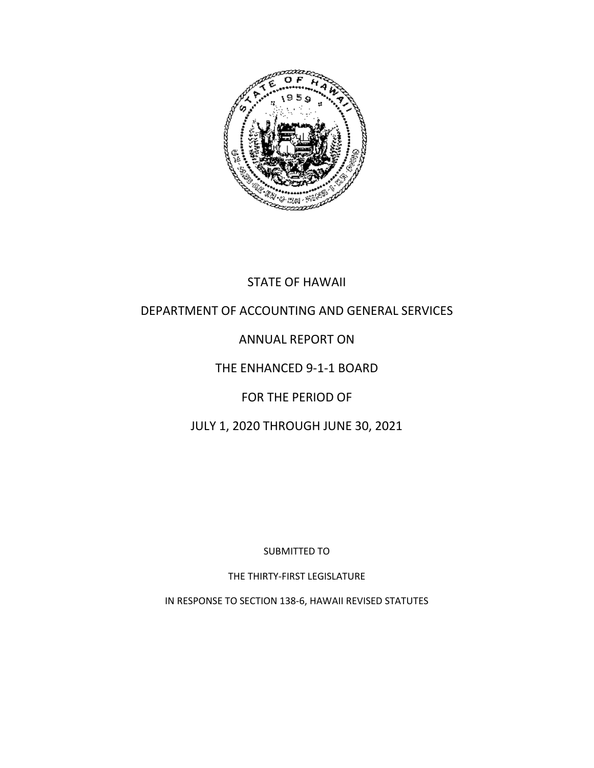

## STATE OF HAWAII

#### DEPARTMENT OF ACCOUNTING AND GENERAL SERVICES

#### ANNUAL REPORT ON

#### THE ENHANCED 9-1-1 BOARD

#### FOR THE PERIOD OF

#### JULY 1, 2020 THROUGH JUNE 30, 2021

SUBMITTED TO

THE THIRTY-FIRST LEGISLATURE

IN RESPONSE TO SECTION 138-6, HAWAII REVISED STATUTES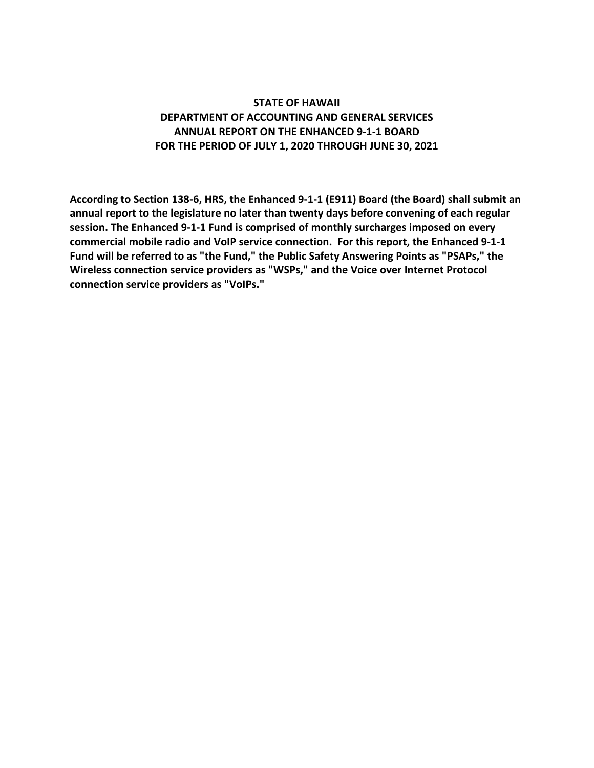#### **STATE OF HAWAII DEPARTMENT OF ACCOUNTING AND GENERAL SERVICES ANNUAL REPORT ON THE ENHANCED 9-1-1 BOARD FOR THE PERIOD OF JULY 1, 2020 THROUGH JUNE 30, 2021**

**According to Section 138-6, HRS, the Enhanced 9-1-1 (E911) Board (the Board) shall submit an annual report to the legislature no later than twenty days before convening of each regular session. The Enhanced 9-1-1 Fund is comprised of monthly surcharges imposed on every commercial mobile radio and VoIP service connection. For this report, the Enhanced 9-1-1 Fund will be referred to as "the Fund," the Public Safety Answering Points as "PSAPs," the Wireless connection service providers as "WSPs," and the Voice over Internet Protocol connection service providers as "VoIPs."**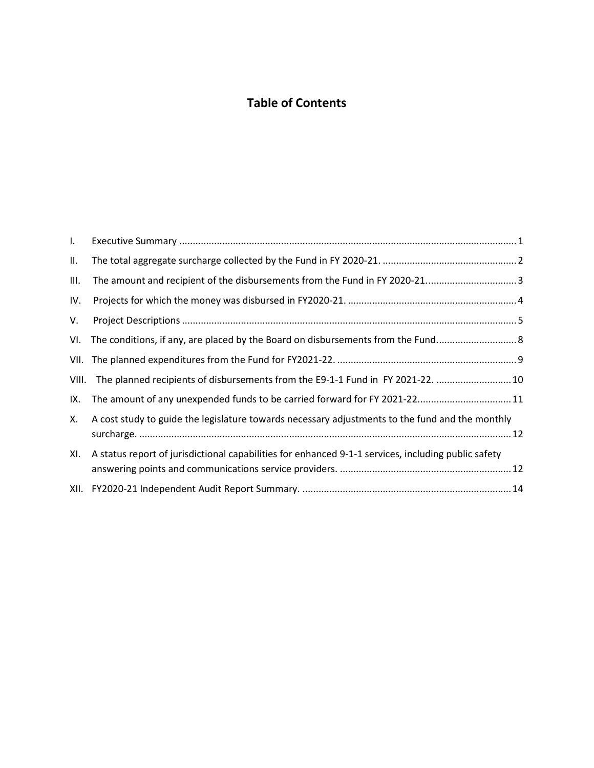# **Table of Contents**

| $\mathsf{L}$ |                                                                                                     |  |
|--------------|-----------------------------------------------------------------------------------------------------|--|
| Ш.           |                                                                                                     |  |
| III.         |                                                                                                     |  |
| IV.          |                                                                                                     |  |
| V.           |                                                                                                     |  |
| VI.          |                                                                                                     |  |
|              |                                                                                                     |  |
| VIII.        | The planned recipients of disbursements from the E9-1-1 Fund in FY 2021-22.  10                     |  |
| IX.          |                                                                                                     |  |
| Х.           | A cost study to guide the legislature towards necessary adjustments to the fund and the monthly     |  |
| XI.          | A status report of jurisdictional capabilities for enhanced 9-1-1 services, including public safety |  |
|              |                                                                                                     |  |
|              |                                                                                                     |  |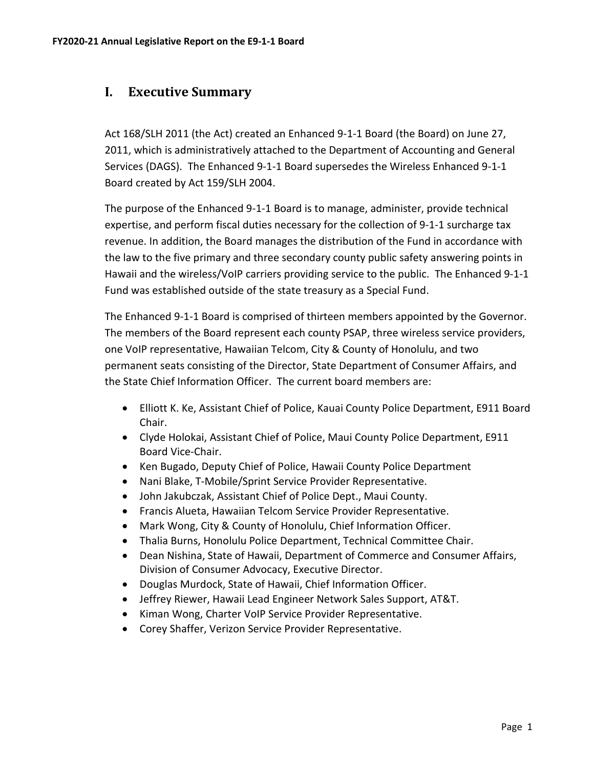#### <span id="page-3-0"></span>**I. Executive Summary**

Act 168/SLH 2011 (the Act) created an Enhanced 9-1-1 Board (the Board) on June 27, 2011, which is administratively attached to the Department of Accounting and General Services (DAGS). The Enhanced 9-1-1 Board supersedes the Wireless Enhanced 9-1-1 Board created by Act 159/SLH 2004.

The purpose of the Enhanced 9-1-1 Board is to manage, administer, provide technical expertise, and perform fiscal duties necessary for the collection of 9-1-1 surcharge tax revenue. In addition, the Board manages the distribution of the Fund in accordance with the law to the five primary and three secondary county public safety answering points in Hawaii and the wireless/VoIP carriers providing service to the public. The Enhanced 9-1-1 Fund was established outside of the state treasury as a Special Fund.

The Enhanced 9-1-1 Board is comprised of thirteen members appointed by the Governor. The members of the Board represent each county PSAP, three wireless service providers, one VoIP representative, Hawaiian Telcom, City & County of Honolulu, and two permanent seats consisting of the Director, State Department of Consumer Affairs, and the State Chief Information Officer. The current board members are:

- Elliott K. Ke, Assistant Chief of Police, Kauai County Police Department, E911 Board Chair.
- Clyde Holokai, Assistant Chief of Police, Maui County Police Department, E911 Board Vice-Chair.
- Ken Bugado, Deputy Chief of Police, Hawaii County Police Department
- Nani Blake, T-Mobile/Sprint Service Provider Representative.
- John Jakubczak, Assistant Chief of Police Dept., Maui County.
- Francis Alueta, Hawaiian Telcom Service Provider Representative.
- Mark Wong, City & County of Honolulu, Chief Information Officer.
- Thalia Burns, Honolulu Police Department, Technical Committee Chair.
- Dean Nishina, State of Hawaii, Department of Commerce and Consumer Affairs, Division of Consumer Advocacy, Executive Director.
- Douglas Murdock, State of Hawaii, Chief Information Officer.
- Jeffrey Riewer, Hawaii Lead Engineer Network Sales Support, AT&T.
- Kiman Wong, Charter VoIP Service Provider Representative.
- Corey Shaffer, Verizon Service Provider Representative.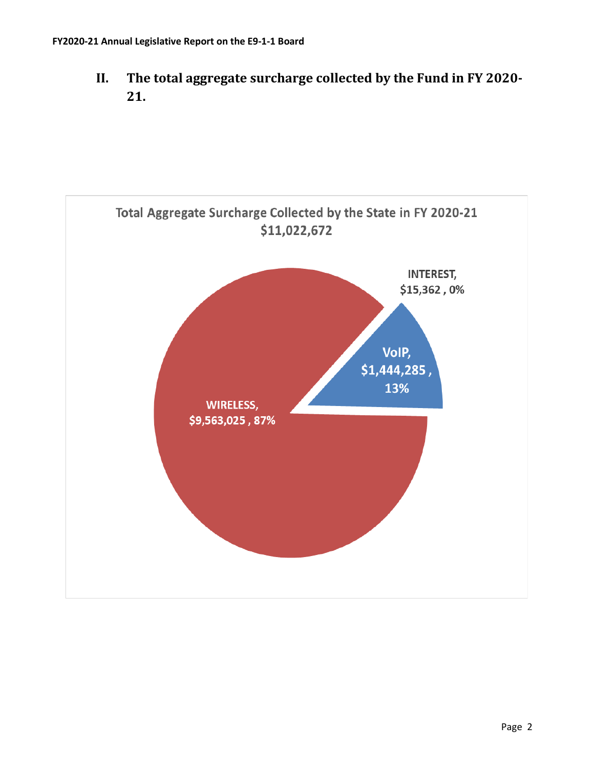<span id="page-4-0"></span>**II. The total aggregate surcharge collected by the Fund in FY 2020- 21.**

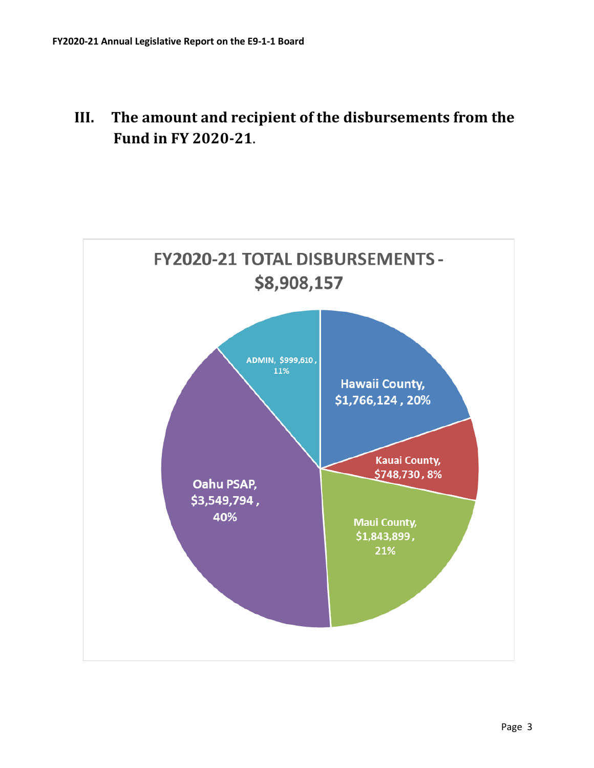# <span id="page-5-0"></span>**III. The amount and recipient of the disbursements from the Fund in FY 2020-21**.

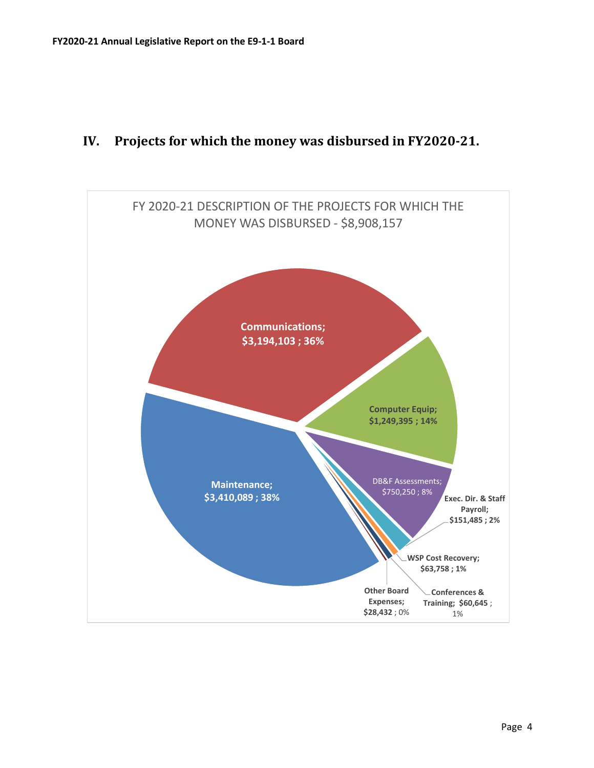# <span id="page-6-0"></span>**IV. Projects for which the money was disbursed in FY2020-21.**

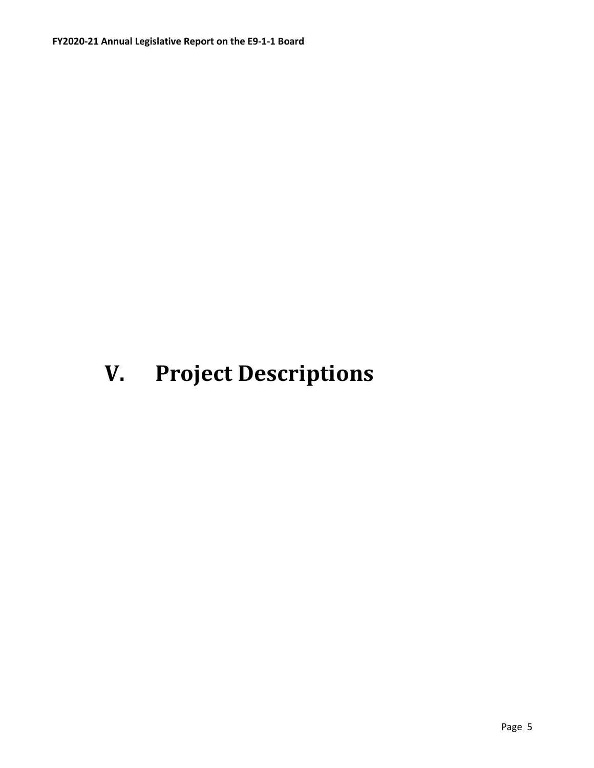# <span id="page-7-0"></span>**V. Project Descriptions**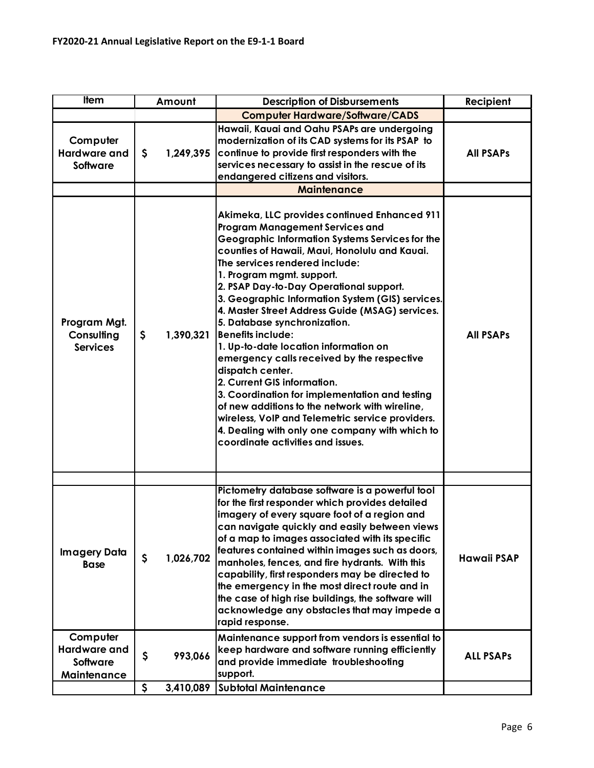| <b>Item</b>                                                       | Amount                            | <b>Description of Disbursements</b>                                                                                                                                                                                                                                                                                                                                                                                                                                                                                                                                                                                                                                                                                                                                                                                                                              | Recipient          |
|-------------------------------------------------------------------|-----------------------------------|------------------------------------------------------------------------------------------------------------------------------------------------------------------------------------------------------------------------------------------------------------------------------------------------------------------------------------------------------------------------------------------------------------------------------------------------------------------------------------------------------------------------------------------------------------------------------------------------------------------------------------------------------------------------------------------------------------------------------------------------------------------------------------------------------------------------------------------------------------------|--------------------|
|                                                                   |                                   | <b>Computer Hardware/Software/CADS</b>                                                                                                                                                                                                                                                                                                                                                                                                                                                                                                                                                                                                                                                                                                                                                                                                                           |                    |
| Computer<br><b>Hardware and</b><br><b>Software</b>                | \$<br>1,249,395                   | Hawaii, Kauai and Oahu PSAPs are undergoing<br>modernization of its CAD systems for its PSAP to<br>continue to provide first responders with the<br>services necessary to assist in the rescue of its<br>endangered citizens and visitors.<br><b>Maintenance</b>                                                                                                                                                                                                                                                                                                                                                                                                                                                                                                                                                                                                 | <b>All PSAPs</b>   |
| Program Mgt.<br>Consulting<br><b>Services</b>                     | \$<br>1,390,321                   | Akimeka, LLC provides continued Enhanced 911<br><b>Program Management Services and</b><br>Geographic Information Systems Services for the<br>counties of Hawaii, Maui, Honolulu and Kauai.<br>The services rendered include:<br>1. Program mgmt. support.<br>2. PSAP Day-to-Day Operational support.<br>3. Geographic Information System (GIS) services.<br>4. Master Street Address Guide (MSAG) services.<br>5. Database synchronization.<br><b>Benefits include:</b><br>1. Up-to-date location information on<br>emergency calls received by the respective<br>dispatch center.<br>2. Current GIS information.<br>3. Coordination for implementation and testing<br>of new additions to the network with wireline,<br>wireless, VoIP and Telemetric service providers.<br>4. Dealing with only one company with which to<br>coordinate activities and issues. | <b>All PSAPs</b>   |
|                                                                   |                                   |                                                                                                                                                                                                                                                                                                                                                                                                                                                                                                                                                                                                                                                                                                                                                                                                                                                                  |                    |
| <b>Imagery Data</b><br><b>Base</b>                                | \$<br>1,026,702                   | Pictometry database software is a powerful tool<br>for the first responder which provides detailed<br>imagery of every square foot of a region and<br>can navigate quickly and easily between views<br>of a map to images associated with its specific<br>features contained within images such as doors,<br>manholes, fences, and fire hydrants. With this<br>capability, first responders may be directed to<br>the emergency in the most direct route and in<br>the case of high rise buildings, the software will<br>acknowledge any obstacles that may impede a<br>rapid response.                                                                                                                                                                                                                                                                          | <b>Hawaii PSAP</b> |
| Computer<br><b>Hardware and</b><br><b>Software</b><br>Maintenance | \$<br>993,066                     | Maintenance support from vendors is essential to<br>keep hardware and software running efficiently<br>and provide immediate troubleshooting<br>support.                                                                                                                                                                                                                                                                                                                                                                                                                                                                                                                                                                                                                                                                                                          | <b>ALL PSAPS</b>   |
|                                                                   | $\boldsymbol{\zeta}$<br>3,410,089 | <b>Subtotal Maintenance</b>                                                                                                                                                                                                                                                                                                                                                                                                                                                                                                                                                                                                                                                                                                                                                                                                                                      |                    |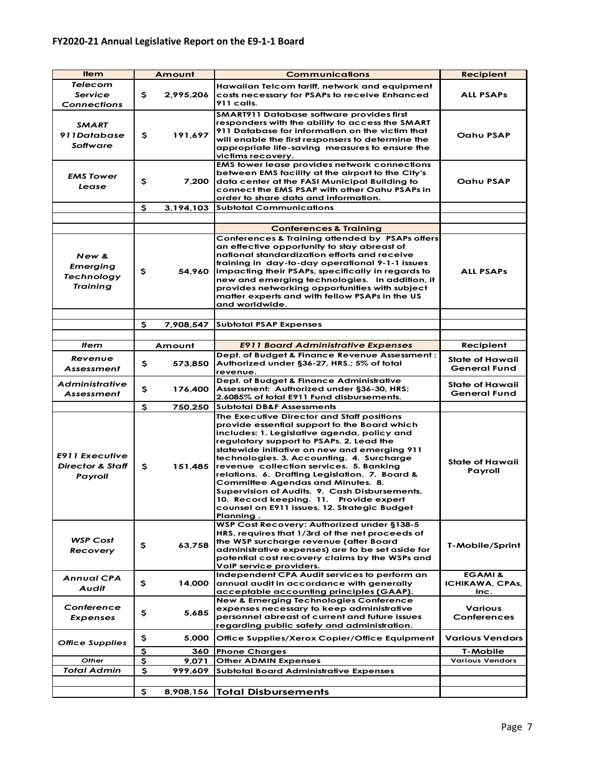| <b>Item</b>                                                     |              | Amount    | <b>Communications</b>                                                                                                                                                                                                                                                                                                                                                                                                                                                                                                                                                        | <b>Recipient</b>                              |
|-----------------------------------------------------------------|--------------|-----------|------------------------------------------------------------------------------------------------------------------------------------------------------------------------------------------------------------------------------------------------------------------------------------------------------------------------------------------------------------------------------------------------------------------------------------------------------------------------------------------------------------------------------------------------------------------------------|-----------------------------------------------|
| <b>Telecom</b><br><b>Service</b><br><b>Connections</b>          | \$.          | 2,995,206 | Hawaiian Telcom tariff, network and equipment<br>costs necessary for PSAPs to receive Enhanced<br>911 calls.                                                                                                                                                                                                                                                                                                                                                                                                                                                                 | <b>ALL PSAPs</b>                              |
| <b>SMART</b><br>911Database<br>Software                         | s            | 191,697   | <b>SMART911 Database software provides first</b><br>responders with the ability to access the SMART<br>911 Database for information on the victim that<br>will enable the first responsers to determine the<br>appropriate life-saving measures to ensure the<br>victims recovery.                                                                                                                                                                                                                                                                                           | Oahu PSAP                                     |
| <b>EMS Tower</b><br>Lease                                       | \$           | 7,200     | <b>EMS tower lease provides network connections</b><br>between EMS facility at the airport to the City's<br>data center at the FASI Municipal Building to<br>connect the EMS PSAP with other Oahu PSAPs in<br>order to share data and information.                                                                                                                                                                                                                                                                                                                           | Oahu PSAP                                     |
|                                                                 | s            | 3,194,103 | <b>Subtotal Communications</b>                                                                                                                                                                                                                                                                                                                                                                                                                                                                                                                                               |                                               |
|                                                                 |              |           |                                                                                                                                                                                                                                                                                                                                                                                                                                                                                                                                                                              |                                               |
| New &<br>Emerging<br><b>Technology</b><br><b>Training</b>       | \$           | 54,960    | <b>Conferences &amp; Training</b><br>Conferences & Training attended by PSAPs offers<br>an effective opportunity to stay abreast of<br>national standardization efforts and receive<br>training in day-to-day operational 9-1-1 issues<br>impacting their PSAPs, specifically in regards to<br>new and emerging technologies. In addition, it<br>provides networking opportunities with subject<br>matter experts and with fellow PSAPs in the US<br>and worldwide.                                                                                                          | <b>ALL PSAPs</b>                              |
|                                                                 | s            | 7,908,547 | <b>Subtotal PSAP Expenses</b>                                                                                                                                                                                                                                                                                                                                                                                                                                                                                                                                                |                                               |
|                                                                 |              |           |                                                                                                                                                                                                                                                                                                                                                                                                                                                                                                                                                                              |                                               |
| ltem                                                            |              | Amount    | <b>E911 Board Administrative Expenses</b>                                                                                                                                                                                                                                                                                                                                                                                                                                                                                                                                    | Recipient                                     |
| Revenue<br><b>Assessment</b>                                    | \$           | 573,850   | Dept. of Budget & Finance Revenue Assessment:<br>Authorized under §36-27, HRS.; 5% of total<br>revenue.                                                                                                                                                                                                                                                                                                                                                                                                                                                                      | State of Hawaii<br>General Fund               |
| Administrative<br>Assessment                                    | \$           | 176,400   | Dept. of Budget & Finance Administrative<br>Assessment: Authorized under §36-30, HRS;<br>2.6085% of total E911 Fund disbursements.                                                                                                                                                                                                                                                                                                                                                                                                                                           | State of Hawaii<br><b>General Fund</b>        |
|                                                                 | \$           | 750,250   | <b>Subtotal DB&amp;F Assessments</b>                                                                                                                                                                                                                                                                                                                                                                                                                                                                                                                                         |                                               |
| <b>E911 Executive</b><br><b>Director &amp; Staff</b><br>Payroll | s            | 151,485   | The Executive Director and Staff positions<br>provide essential support to the Board which<br>includes: 1. Legislative agenda, policy and<br>regulatory support to PSAPs. 2. Lead the<br>statewide initiative on new and emerging 911<br>technologies. 3. Accounting. 4. Surcharge<br>revenue collection services. 5. Banking<br>relations. 6. Drafting Legislation. 7. Board &<br>Committee Agendas and Minutes. 8.<br>Supervision of Audits. 9. Cash Disbursements.<br>10. Record keeping. 11. Provide expert<br>counsel on E911 issues. 12. Strategic Budget<br>Planning. | State of Hawaii<br>Payroll                    |
| <b>WSP Cost</b><br>Recovery                                     | \$           | 63,758    | <b>WSP Cost Recovery: Authorized under §138-5</b><br>HRS, requires that 1/3rd of the net proceeds of<br>the WSP surcharge revenue (after Board<br>administrative expenses) are to be set aside for<br>potential cost recovery claims by the WSPs and<br>VoIP service providers.                                                                                                                                                                                                                                                                                              | T-Mobile/Sprint                               |
| <b>Annual CPA</b><br>Audit                                      | \$           | 14,000    | Independent CPA Audit services to perform an<br>annual audit in accordance with generally<br>acceptable accounting principles (GAAP).                                                                                                                                                                                                                                                                                                                                                                                                                                        | <b>EGAMI &amp;</b><br>ICHIKAWA, CPAs,<br>Inc. |
| Conference<br><b>Expenses</b>                                   | \$.          | 5.685     | <b>New &amp; Emerging Technologies Conference</b><br>expenses necessary to keep administrative<br>personnel abreast of current and future issues<br>regarding public safety and administration.                                                                                                                                                                                                                                                                                                                                                                              | <b>Various</b><br>Conferences                 |
| <b>Office Supplies</b>                                          | \$           | 5,000     | Office Supplies/Xerox Copier/Office Equipment                                                                                                                                                                                                                                                                                                                                                                                                                                                                                                                                | <b>Various Vendors</b>                        |
|                                                                 | \$           | 360       | <b>Phone Charges</b>                                                                                                                                                                                                                                                                                                                                                                                                                                                                                                                                                         | T-Mobile                                      |
| Other                                                           | \$           | 9,071     | <b>Other ADMIN Expenses</b>                                                                                                                                                                                                                                                                                                                                                                                                                                                                                                                                                  | <b>Various Vendors</b>                        |
| <b>Total Admin</b>                                              | $\mathsf{s}$ | 999,609   | <b>Subtotal Board Administrative Expenses</b>                                                                                                                                                                                                                                                                                                                                                                                                                                                                                                                                |                                               |
|                                                                 | \$           | 8,908,156 | <b>Total Disbursements</b>                                                                                                                                                                                                                                                                                                                                                                                                                                                                                                                                                   |                                               |
|                                                                 |              |           |                                                                                                                                                                                                                                                                                                                                                                                                                                                                                                                                                                              |                                               |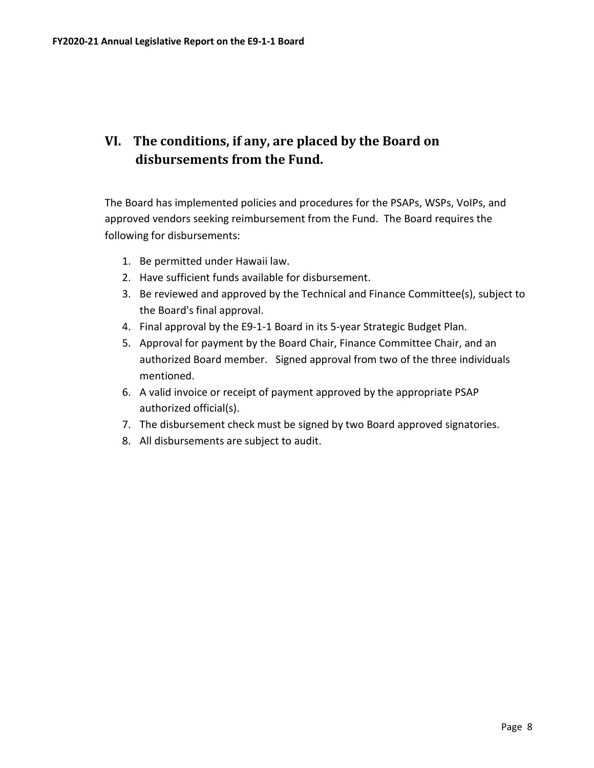# <span id="page-10-0"></span>**VI. The conditions, if any, are placed by the Board on disbursements from the Fund.**

The Board has implemented policies and procedures for the PSAPs, WSPs, VoIPs, and approved vendors seeking reimbursement from the Fund. The Board requires the following for disbursements:

- 1. Be permitted under Hawaii law.
- 2. Have sufficient funds available for disbursement.
- 3. Be reviewed and approved by the Technical and Finance Committee(s), subject to the Board's final approval.
- 4. Final approval by the E9-1-1 Board in its 5-year Strategic Budget Plan.
- 5. Approval for payment by the Board Chair, Finance Committee Chair, and an authorized Board member. Signed approval from two of the three individuals mentioned.
- 6. A valid invoice or receipt of payment approved by the appropriate PSAP authorized official(s).
- 7. The disbursement check must be signed by two Board approved signatories.
- 8. All disbursements are subject to audit.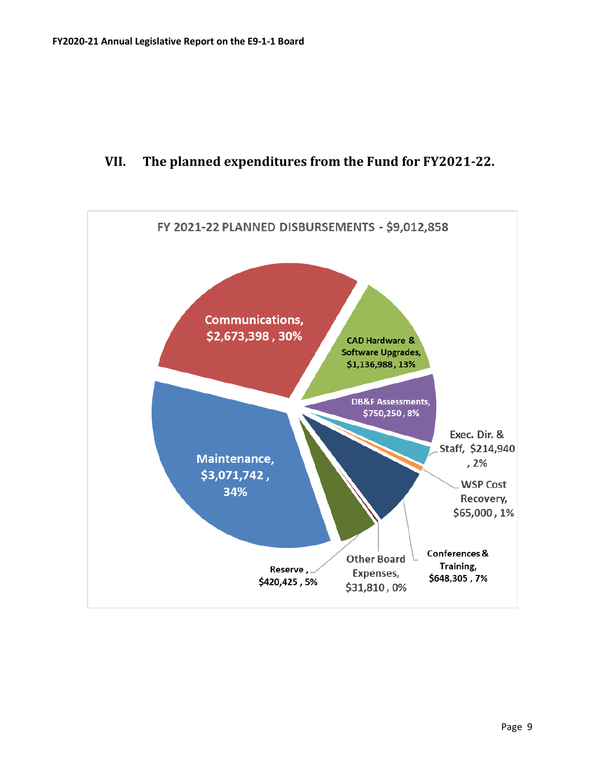## <span id="page-11-0"></span>**VII. The planned expenditures from the Fund for FY2021-22.**

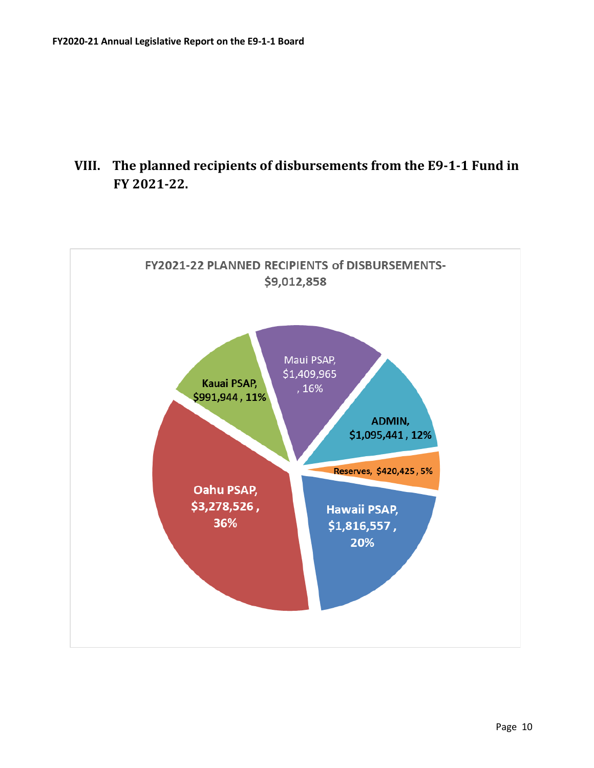

# <span id="page-12-0"></span>**VIII. The planned recipients of disbursements from the E9-1-1 Fund in FY 2021-22.**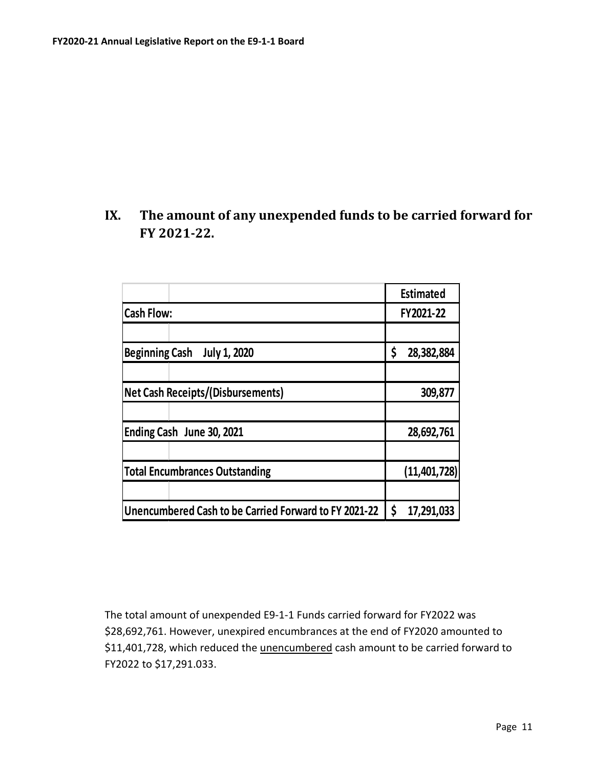# <span id="page-13-0"></span>**IX. The amount of any unexpended funds to be carried forward for FY 2021-22.**

|                                                       | <b>Estimated</b> |  |  |
|-------------------------------------------------------|------------------|--|--|
| <b>Cash Flow:</b>                                     | FY2021-22        |  |  |
|                                                       |                  |  |  |
| <b>Beginning Cash</b><br><b>July 1, 2020</b>          | \$<br>28,382,884 |  |  |
|                                                       |                  |  |  |
| <b>Net Cash Receipts/(Disbursements)</b>              | 309,877          |  |  |
|                                                       |                  |  |  |
| Ending Cash June 30, 2021                             | 28,692,761       |  |  |
|                                                       |                  |  |  |
| <b>Total Encumbrances Outstanding</b>                 | (11, 401, 728)   |  |  |
|                                                       |                  |  |  |
| Unencumbered Cash to be Carried Forward to FY 2021-22 | \$<br>17,291,033 |  |  |

The total amount of unexpended E9-1-1 Funds carried forward for FY2022 was \$28,692,761. However, unexpired encumbrances at the end of FY2020 amounted to \$11,401,728, which reduced the *unencumbered* cash amount to be carried forward to FY2022 to \$17,291.033.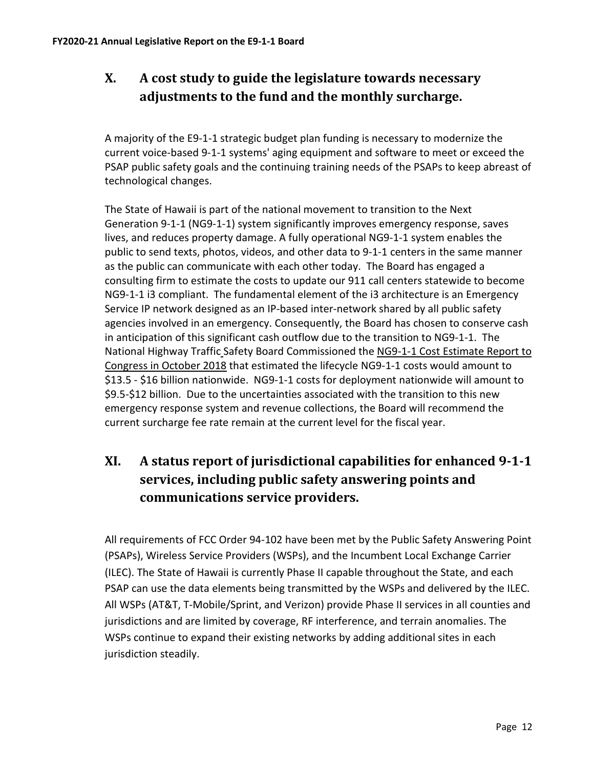# <span id="page-14-0"></span>**X. A cost study to guide the legislature towards necessary adjustments to the fund and the monthly surcharge.**

A majority of the E9-1-1 strategic budget plan funding is necessary to modernize the current voice-based 9-1-1 systems' aging equipment and software to meet or exceed the PSAP public safety goals and the continuing training needs of the PSAPs to keep abreast of technological changes.

The State of Hawaii is part of the national movement to transition to the Next Generation 9-1-1 (NG9-1-1) system significantly improves emergency response, saves lives, and reduces property damage. A fully operational NG9-1-1 system enables the public to send texts, photos, videos, and other data to 9-1-1 centers in the same manner as the public can communicate with each other today. The Board has engaged a consulting firm to estimate the costs to update our 911 call centers statewide to become NG9-1-1 i3 compliant. The fundamental element of the i3 architecture is an Emergency Service IP network designed as an IP-based inter-network shared by all public safety agencies involved in an emergency. Consequently, the Board has chosen to conserve cash in anticipation of this significant cash outflow due to the transition to NG9-1-1. The National Highway Traffic Safety Board Commissioned the NG9-1-1 Cost Estimate Report to Congress in October 2018 that estimated the lifecycle NG9-1-1 costs would amount to \$13.5 - \$16 billion nationwide. NG9-1-1 costs for deployment nationwide will amount to \$9.5-\$12 billion. Due to the uncertainties associated with the transition to this new emergency response system and revenue collections, the Board will recommend the current surcharge fee rate remain at the current level for the fiscal year.

# <span id="page-14-1"></span>**XI. A status report of jurisdictional capabilities for enhanced 9-1-1 services, including public safety answering points and communications service providers.**

All requirements of FCC Order 94-102 have been met by the Public Safety Answering Point (PSAPs), Wireless Service Providers (WSPs), and the Incumbent Local Exchange Carrier (ILEC). The State of Hawaii is currently Phase II capable throughout the State, and each PSAP can use the data elements being transmitted by the WSPs and delivered by the ILEC. All WSPs (AT&T, T-Mobile/Sprint, and Verizon) provide Phase II services in all counties and jurisdictions and are limited by coverage, RF interference, and terrain anomalies. The WSPs continue to expand their existing networks by adding additional sites in each jurisdiction steadily.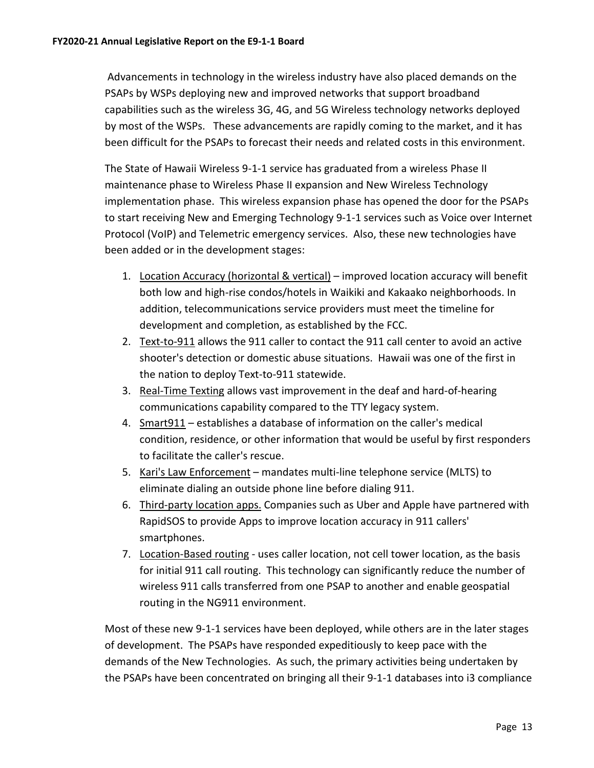Advancements in technology in the wireless industry have also placed demands on the PSAPs by WSPs deploying new and improved networks that support broadband capabilities such as the wireless 3G, 4G, and 5G Wireless technology networks deployed by most of the WSPs. These advancements are rapidly coming to the market, and it has been difficult for the PSAPs to forecast their needs and related costs in this environment.

The State of Hawaii Wireless 9-1-1 service has graduated from a wireless Phase II maintenance phase to Wireless Phase II expansion and New Wireless Technology implementation phase. This wireless expansion phase has opened the door for the PSAPs to start receiving New and Emerging Technology 9-1-1 services such as Voice over Internet Protocol (VoIP) and Telemetric emergency services. Also, these new technologies have been added or in the development stages:

- 1. Location Accuracy (horizontal & vertical) improved location accuracy will benefit both low and high-rise condos/hotels in Waikiki and Kakaako neighborhoods. In addition, telecommunications service providers must meet the timeline for development and completion, as established by the FCC.
- 2. Text-to-911 allows the 911 caller to contact the 911 call center to avoid an active shooter's detection or domestic abuse situations. Hawaii was one of the first in the nation to deploy Text-to-911 statewide.
- 3. Real-Time Texting allows vast improvement in the deaf and hard-of-hearing communications capability compared to the TTY legacy system.
- 4. Smart911 establishes a database of information on the caller's medical condition, residence, or other information that would be useful by first responders to facilitate the caller's rescue.
- 5. Kari's Law Enforcement mandates multi-line telephone service (MLTS) to eliminate dialing an outside phone line before dialing 911.
- 6. Third-party location apps. Companies such as Uber and Apple have partnered with RapidSOS to provide Apps to improve location accuracy in 911 callers' smartphones.
- 7. Location-Based routing uses caller location, not cell tower location, as the basis for initial 911 call routing. This technology can significantly reduce the number of wireless 911 calls transferred from one PSAP to another and enable geospatial routing in the NG911 environment.

Most of these new 9-1-1 services have been deployed, while others are in the later stages of development. The PSAPs have responded expeditiously to keep pace with the demands of the New Technologies. As such, the primary activities being undertaken by the PSAPs have been concentrated on bringing all their 9-1-1 databases into i3 compliance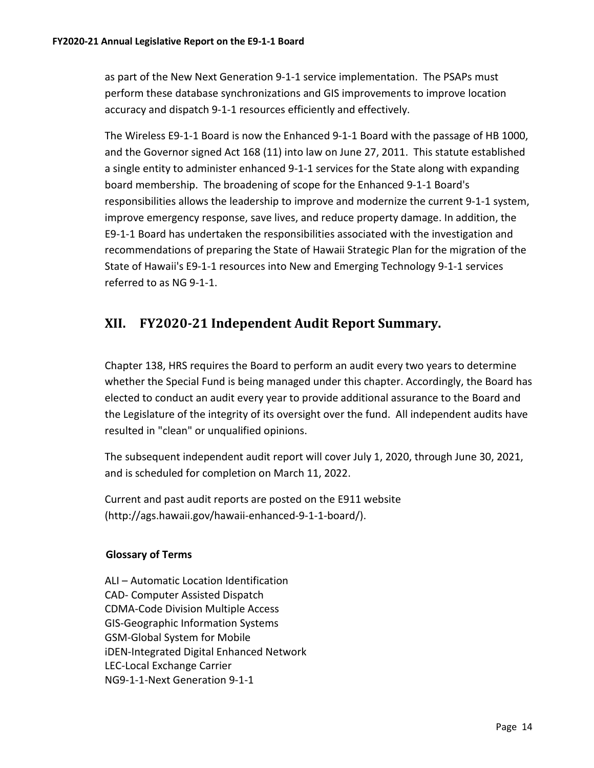as part of the New Next Generation 9-1-1 service implementation. The PSAPs must perform these database synchronizations and GIS improvements to improve location accuracy and dispatch 9-1-1 resources efficiently and effectively.

The Wireless E9-1-1 Board is now the Enhanced 9-1-1 Board with the passage of HB 1000, and the Governor signed Act 168 (11) into law on June 27, 2011. This statute established a single entity to administer enhanced 9-1-1 services for the State along with expanding board membership. The broadening of scope for the Enhanced 9-1-1 Board's responsibilities allows the leadership to improve and modernize the current 9-1-1 system, improve emergency response, save lives, and reduce property damage. In addition, the E9-1-1 Board has undertaken the responsibilities associated with the investigation and recommendations of preparing the State of Hawaii Strategic Plan for the migration of the State of Hawaii's E9-1-1 resources into New and Emerging Technology 9-1-1 services referred to as NG 9-1-1.

## <span id="page-16-0"></span>**XII. FY2020-21 Independent Audit Report Summary.**

Chapter 138, HRS requires the Board to perform an audit every two years to determine whether the Special Fund is being managed under this chapter. Accordingly, the Board has elected to conduct an audit every year to provide additional assurance to the Board and the Legislature of the integrity of its oversight over the fund. All independent audits have resulted in "clean" or unqualified opinions.

The subsequent independent audit report will cover July 1, 2020, through June 30, 2021, and is scheduled for completion on March 11, 2022.

Current and past audit reports are posted on the E911 website (http://ags.hawaii.gov/hawaii-enhanced-9-1-1-board/).

#### **Glossary of Terms**

ALI – Automatic Location Identification CAD- Computer Assisted Dispatch CDMA-Code Division Multiple Access GIS-Geographic Information Systems GSM-Global System for Mobile iDEN-Integrated Digital Enhanced Network LEC-Local Exchange Carrier NG9-1-1-Next Generation 9-1-1